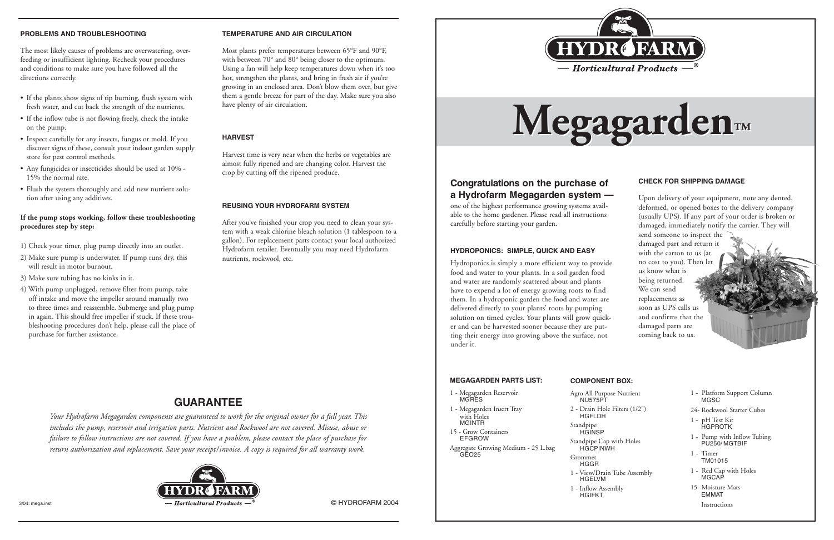

#### **CHECK FOR SHIPPING DAMAGE**

Upon delivery of your equipment, note any dented, deformed, or opened boxes to the delivery company (usually UPS). If any part of your order is broken or damaged, immediately notify the carrier. They will

send someone to inspect the damaged part and return it with the carton to us (at no cost to you). Then let us know what is being returned. We can send replacements as soon as UPS calls us and confirms that the damaged parts are coming back to us.

# **HYDROPONICS: SIMPLE, QUICK AND EASY**

Hydroponics is simply a more efficient way to provide food and water to your plants. In a soil garden food and water are randomly scattered about and plants have to expend a lot of energy growing roots to find them. In a hydroponic garden the food and water are delivered directly to your plants' roots by pumping solution on timed cycles. Your plants will grow quicker and can be harvested sooner because they are putting their energy into growing above the surface, not under it.



#### **PROBLEMS AND TROUBLESHOOTING**

The most likely causes of problems are overwatering, overfeeding or insufficient lighting. Recheck your procedures and conditions to make sure you have followed all the directions correctly.

- If the plants show signs of tip burning, flush system with fresh water, and cut back the strength of the nutrients.
- If the inflow tube is not flowing freely, check the intake on the pump.
- Inspect carefully for any insects, fungus or mold. If you discover signs of these, consult your indoor garden supply store for pest control methods.
- Any fungicides or insecticides should be used at 10% 15% the normal rate.
- Flush the system thoroughly and add new nutrient solution after using any additives.

# **If the pump stops working, follow these troubleshooting procedures step by step:**

- 1) Check your timer, plug pump directly into an outlet.
- 2) Make sure pump is underwater. If pump runs dry, this will result in motor burnout.
- 3) Make sure tubing has no kinks in it.
- 4) With pump unplugged, remove filter from pump, take off intake and move the impeller around manually two to three times and reassemble. Submerge and plug pump in again. This should free impeller if stuck. If these troubleshooting procedures don't help, please call the place of purchase for further assistance.

*Your Hydrofarm Megagarden components are guaranteed to work for the original owner for a full year. This includes the pump, reservoir and irrigation parts. Nutrient and Rockwool are not covered. Misuse, abuse or failure to follow instructions are not covered. If you have a problem, please contact the place of purchase for return authorization and replacement. Save your receipt/invoice. A copy is required for all warranty work.*



# **GUARANTEE**

## **TEMPERATURE AND AIR CIRCULATION**

Most plants prefer temperatures between 65°F and 90°F, with between 70° and 80° being closer to the optimum. Using a fan will help keep temperatures down when it's too hot, strengthen the plants, and bring in fresh air if you're growing in an enclosed area. Don't blow them over, but give them a gentle breeze for part of the day. Make sure you also have plenty of air circulation.

# **HARVEST**

Harvest time is very near when the herbs or vegetables are almost fully ripened and are changing color. Harvest the crop by cutting off the ripened produce.

# **REUSING YOUR HYDROFARM SYSTEM**

After you've finished your crop you need to clean your system with a weak chlorine bleach solution (1 tablespoon to a gallon). For replacement parts contact your local authorized Hydrofarm retailer. Eventually you may need Hydrofarm nutrients, rockwool, etc.

3/04: mega.inst

#### **MEGAGARDEN PARTS LIST:**

#### 1 - Megagarden Reservoir MGRES

1 - Megagarden Insert Tray with Holes MGINTR

15 - Grow Containers EFGROW

Aggregate Growing Medium - 25 L.bag GEO25

# **COMPONENT BOX:**

| Agro All Purpose Nutrient<br><b>NU575PT</b>    |                 | 1 - Pla<br>МC |
|------------------------------------------------|-----------------|---------------|
| 2 - Drain Hole Filters (1/2")<br><b>HGFLDH</b> | 24-Ro           |               |
| Standpipe<br><b>HGINSP</b>                     | $1 - pE$        | НG            |
| Standpipe Cap with Holes<br><b>HGCPINWH</b>    | $1 - Pu$        | PU            |
| Grommet<br>HGGR                                | $1 - \text{Ti}$ | ΤM            |
| 1 - View/Drain Tube Assembly<br>HGELVM         |                 | 1 - Re<br>МC  |
|                                                |                 |               |

1 - Inflow Assembly HGIFKT

|  | 1 - Platform Support Column<br>MGSC         |
|--|---------------------------------------------|
|  | 24- Rockwool Starter Cubes                  |
|  | 1 - pH Test Kit<br>HGPROTK                  |
|  | 1 - Pump with Inflow Tubing<br>PU250/MGTBIF |
|  | 1 - Timer<br>TM01015                        |
|  | 1 - Red Cap with Holes<br>MGCAP             |
|  | 15- Moisture Mats<br><b>FMMAT</b>           |
|  | Instructions                                |

# **Congratulations on the purchase of a Hydrofarm Megagarden system —**

one of the highest performance growing systems available to the home gardener. Please read all instructions carefully before starting your garden.